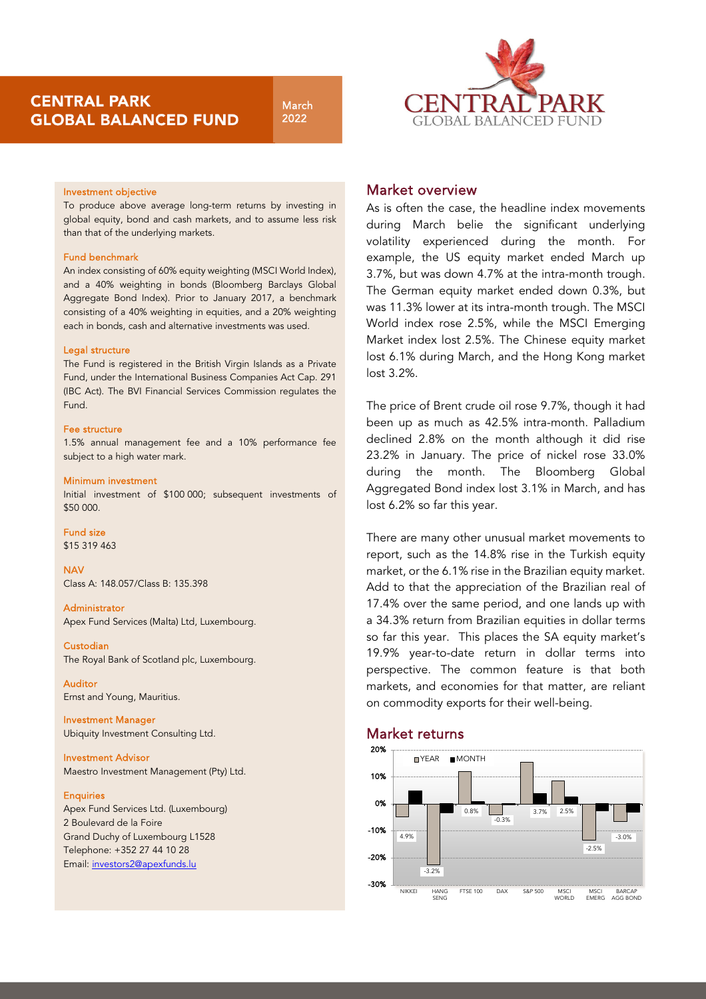March 2022



## Investment objective

To produce above average long-term returns by investing in global equity, bond and cash markets, and to assume less risk than that of the underlying markets.

## Fund benchmark

An index consisting of 60% equity weighting (MSCI World Index), and a 40% weighting in bonds (Bloomberg Barclays Global Aggregate Bond Index). Prior to January 2017, a benchmark consisting of a 40% weighting in equities, and a 20% weighting each in bonds, cash and alternative investments was used.

## Legal structure

The Fund is registered in the British Virgin Islands as a Private Fund, under the International Business Companies Act Cap. 291 (IBC Act). The BVI Financial Services Commission regulates the Fund.

### Fee structure

1.5% annual management fee and a 10% performance fee subject to a high water mark.

#### Minimum investment

Initial investment of \$100 000; subsequent investments of \$50 000.

## Fund size

\$15 319 463

**NAV** Class A: 148.057/Class B: 135.398

### Administrator

Apex Fund Services (Malta) Ltd, Luxembourg.

# Custodian

The Royal Bank of Scotland plc, Luxembourg.

## Auditor

Ernst and Young, Mauritius.

Investment Manager Ubiquity Investment Consulting Ltd.

Investment Advisor Maestro Investment Management (Pty) Ltd.

### **Enquiries**

Apex Fund Services Ltd. (Luxembourg) 2 Boulevard de la Foire Grand Duchy of Luxembourg L1528 Telephone: +352 27 44 10 28 Email[: investors2@apexfunds.lu](mailto:investors2@apexfunds.lu)

## Market overview

As is often the case, the headline index movements during March belie the significant underlying volatility experienced during the month. For example, the US equity market ended March up 3.7%, but was down 4.7% at the intra-month trough. The German equity market ended down 0.3%, but was 11.3% lower at its intra-month trough. The MSCI World index rose 2.5%, while the MSCI Emerging Market index lost 2.5%. The Chinese equity market lost 6.1% during March, and the Hong Kong market lost 3.2%.

The price of Brent crude oil rose 9.7%, though it had been up as much as 42.5% intra-month. Palladium declined 2.8% on the month although it did rise 23.2% in January. The price of nickel rose 33.0% during the month. The Bloomberg Global Aggregated Bond index lost 3.1% in March, and has lost 6.2% so far this year.

There are many other unusual market movements to report, such as the 14.8% rise in the Turkish equity market, or the 6.1% rise in the Brazilian equity market. Add to that the appreciation of the Brazilian real of 17.4% over the same period, and one lands up with a 34.3% return from Brazilian equities in dollar terms so far this year. This places the SA equity market's 19.9% year-to-date return in dollar terms into perspective. The common feature is that both markets, and economies for that matter, are reliant on commodity exports for their well-being.

# Market returns